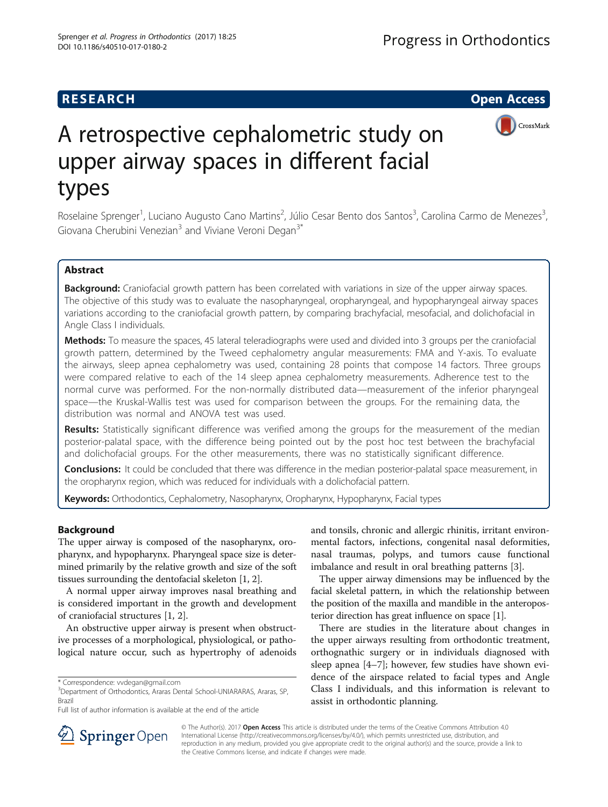CrossMark



Roselaine Sprenger<sup>1</sup>, Luciano Augusto Cano Martins<sup>2</sup>, Júlio Cesar Bento dos Santos<sup>3</sup>, Carolina Carmo de Menezes<sup>3</sup> , Giovana Cherubini Venezian $3$  and Viviane Veroni Degan $3^*$ 

# Abstract

Background: Craniofacial growth pattern has been correlated with variations in size of the upper airway spaces. The objective of this study was to evaluate the nasopharyngeal, oropharyngeal, and hypopharyngeal airway spaces variations according to the craniofacial growth pattern, by comparing brachyfacial, mesofacial, and dolichofacial in Angle Class I individuals.

Methods: To measure the spaces, 45 lateral teleradiographs were used and divided into 3 groups per the craniofacial growth pattern, determined by the Tweed cephalometry angular measurements: FMA and Y-axis. To evaluate the airways, sleep apnea cephalometry was used, containing 28 points that compose 14 factors. Three groups were compared relative to each of the 14 sleep apnea cephalometry measurements. Adherence test to the normal curve was performed. For the non-normally distributed data—measurement of the inferior pharyngeal space—the Kruskal-Wallis test was used for comparison between the groups. For the remaining data, the distribution was normal and ANOVA test was used.

Results: Statistically significant difference was verified among the groups for the measurement of the median posterior-palatal space, with the difference being pointed out by the post hoc test between the brachyfacial and dolichofacial groups. For the other measurements, there was no statistically significant difference.

**Conclusions:** It could be concluded that there was difference in the median posterior-palatal space measurement, in the oropharynx region, which was reduced for individuals with a dolichofacial pattern.

Keywords: Orthodontics, Cephalometry, Nasopharynx, Oropharynx, Hypopharynx, Facial types

### Background

The upper airway is composed of the nasopharynx, oropharynx, and hypopharynx. Pharyngeal space size is determined primarily by the relative growth and size of the soft tissues surrounding the dentofacial skeleton [\[1](#page-5-0), [2\]](#page-5-0).

A normal upper airway improves nasal breathing and is considered important in the growth and development of craniofacial structures [\[1, 2](#page-5-0)].

An obstructive upper airway is present when obstructive processes of a morphological, physiological, or pathological nature occur, such as hypertrophy of adenoids and tonsils, chronic and allergic rhinitis, irritant environmental factors, infections, congenital nasal deformities, nasal traumas, polyps, and tumors cause functional imbalance and result in oral breathing patterns [[3](#page-5-0)].

The upper airway dimensions may be influenced by the facial skeletal pattern, in which the relationship between the position of the maxilla and mandible in the anteroposterior direction has great influence on space [\[1\]](#page-5-0).

There are studies in the literature about changes in the upper airways resulting from orthodontic treatment, orthognathic surgery or in individuals diagnosed with sleep apnea [[4](#page-5-0)–[7\]](#page-5-0); however, few studies have shown evidence of the airspace related to facial types and Angle Class I individuals, and this information is relevant to assist in orthodontic planning.



© The Author(s). 2017 Open Access This article is distributed under the terms of the Creative Commons Attribution 4.0 International License ([http://creativecommons.org/licenses/by/4.0/\)](http://creativecommons.org/licenses/by/4.0/), which permits unrestricted use, distribution, and reproduction in any medium, provided you give appropriate credit to the original author(s) and the source, provide a link to the Creative Commons license, and indicate if changes were made.

<sup>\*</sup> Correspondence: [vvdegan@gmail.com](mailto:vvdegan@gmail.com) <sup>3</sup>

<sup>&</sup>lt;sup>3</sup>Department of Orthodontics, Araras Dental School-UNIARARAS, Araras, SP, Brazil

Full list of author information is available at the end of the article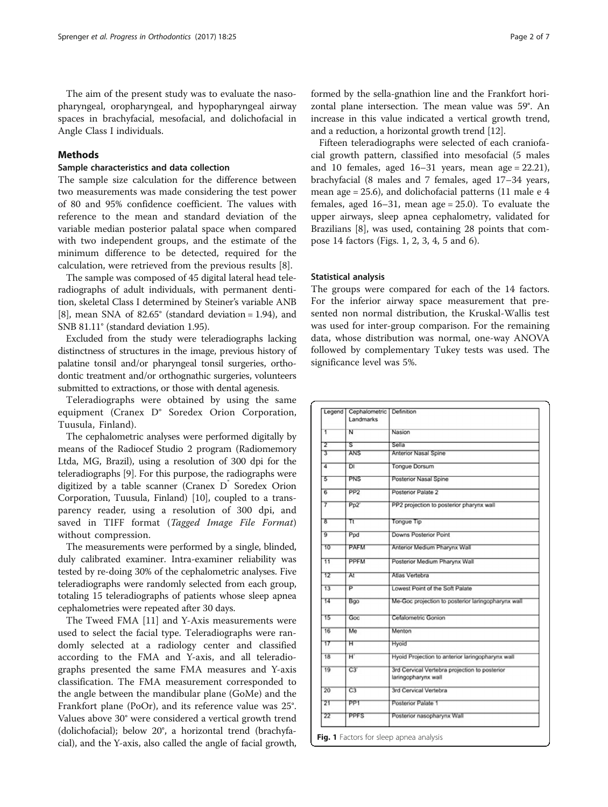### Methods

# Sample characteristics and data collection

The sample size calculation for the difference between two measurements was made considering the test power of 80 and 95% confidence coefficient. The values with reference to the mean and standard deviation of the variable median posterior palatal space when compared with two independent groups, and the estimate of the minimum difference to be detected, required for the calculation, were retrieved from the previous results [\[8](#page-5-0)].

The sample was composed of 45 digital lateral head teleradiographs of adult individuals, with permanent dentition, skeletal Class I determined by Steiner's variable ANB [[8\]](#page-5-0), mean SNA of  $82.65^{\circ}$  (standard deviation = 1.94), and SNB 81.11° (standard deviation 1.95).

Excluded from the study were teleradiographs lacking distinctness of structures in the image, previous history of palatine tonsil and/or pharyngeal tonsil surgeries, orthodontic treatment and/or orthognathic surgeries, volunteers submitted to extractions, or those with dental agenesis.

Teleradiographs were obtained by using the same equipment (Cranex D® Soredex Orion Corporation, Tuusula, Finland).

The cephalometric analyses were performed digitally by means of the Radiocef Studio 2 program (Radiomemory Ltda, MG, Brazil), using a resolution of 300 dpi for the teleradiographs [[9](#page-5-0)]. For this purpose, the radiographs were digitized by a table scanner (Cranex  $D^{\dagger}$  Soredex Orion Corporation, Tuusula, Finland) [\[10\]](#page-5-0), coupled to a transparency reader, using a resolution of 300 dpi, and saved in TIFF format (Tagged Image File Format) without compression.

The measurements were performed by a single, blinded, duly calibrated examiner. Intra-examiner reliability was tested by re-doing 30% of the cephalometric analyses. Five teleradiographs were randomly selected from each group, totaling 15 teleradiographs of patients whose sleep apnea cephalometries were repeated after 30 days.

The Tweed FMA [[11\]](#page-5-0) and Y-Axis measurements were used to select the facial type. Teleradiographs were randomly selected at a radiology center and classified according to the FMA and Y-axis, and all teleradiographs presented the same FMA measures and Y-axis classification. The FMA measurement corresponded to the angle between the mandibular plane (GoMe) and the Frankfort plane (PoOr), and its reference value was 25°. Values above 30° were considered a vertical growth trend (dolichofacial); below 20°, a horizontal trend (brachyfacial), and the Y-axis, also called the angle of facial growth, formed by the sella-gnathion line and the Frankfort horizontal plane intersection. The mean value was 59°. An increase in this value indicated a vertical growth trend, and a reduction, a horizontal growth trend [[12](#page-5-0)].

Fifteen teleradiographs were selected of each craniofacial growth pattern, classified into mesofacial (5 males and 10 females, aged  $16-31$  years, mean age = 22.21), brachyfacial (8 males and 7 females, aged 17–34 years, mean age = 25.6), and dolichofacial patterns (11 male e 4 females, aged  $16-31$ , mean age = 25.0). To evaluate the upper airways, sleep apnea cephalometry, validated for Brazilians [\[8\]](#page-5-0), was used, containing 28 points that compose 14 factors (Figs. 1, [2, 3,](#page-2-0) [4, 5](#page-3-0) and [6](#page-4-0)).

### Statistical analysis

The groups were compared for each of the 14 factors. For the inferior airway space measurement that presented non normal distribution, the Kruskal-Wallis test was used for inter-group comparison. For the remaining data, whose distribution was normal, one-way ANOVA followed by complementary Tukey tests was used. The significance level was 5%.

| Legend          | Cephalometric<br>Landmarks | Definition                                                           |
|-----------------|----------------------------|----------------------------------------------------------------------|
| ī               | N                          | Nasion                                                               |
| 2               | ड                          | Sella                                                                |
| 3               | <b>ANS</b>                 | <b>Anterior Nasal Spine</b>                                          |
| 4               | $\overline{D}$             | <b>Tongue Dorsum</b>                                                 |
| 5               | PNS                        | Posterior Nasal Spine                                                |
| $\overline{6}$  | PP2                        | Posterior Palate 2                                                   |
| 7               | Pp2                        | PP2 projection to posterior pharynx wall                             |
| ह               | π                          | Tongue Tip                                                           |
| $\overline{9}$  | Ppd                        | Downs Posterior Point                                                |
| 10              | <b>PAFM</b>                | Anterior Medium Pharynx Wall                                         |
| 11              | <b>PPFM</b>                | Posterior Medium Pharynx Wall                                        |
| 12              | At                         | Atlas Vertebra                                                       |
| $\overline{13}$ | $\overline{P}$             | Lowest Point of the Soft Palate                                      |
| 14              | Bgo                        | Me-Goc projection to posterior laringopharynx wall                   |
| 15              | Goc                        | Cefalometric Gonion                                                  |
| 16              | Me                         | Menton                                                               |
| 17              | ਸ                          | Hyoid                                                                |
| 18              | $\overline{\mathbf{H}}$    | Hyoid Projection to anterior laringopharynx wall                     |
| 19              | $\overline{C3}$            | 3rd Cervical Vertebra projection to posterior<br>laringopharynx wall |
| $\overline{20}$ | $\overline{C3}$            | 3rd Cervical Vertebra                                                |
| 21              | <b>PP1</b>                 | Posterior Palate 1                                                   |
| 22              | <b>PPFS</b>                | Posterior nasopharynx Wall                                           |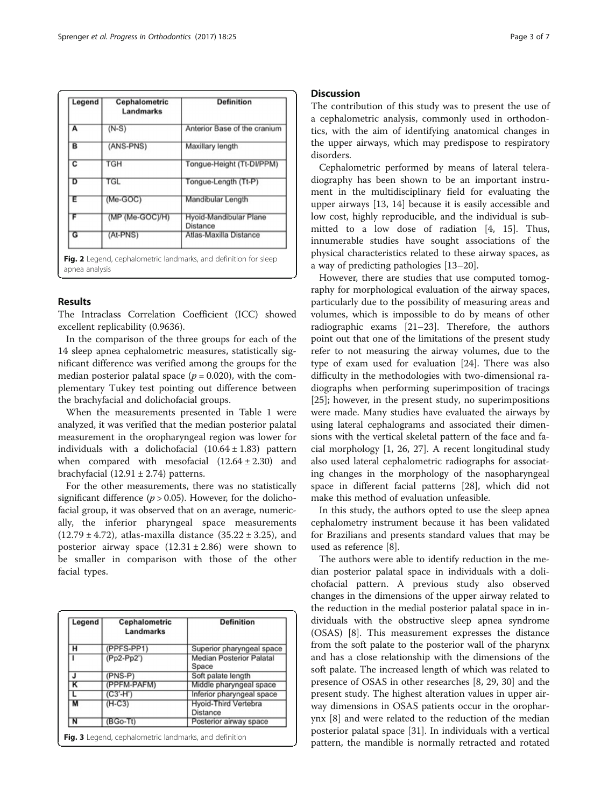<span id="page-2-0"></span>

| Legend                  | Cephalometric<br>Landmarks | <b>Definition</b>                         |  |  |  |
|-------------------------|----------------------------|-------------------------------------------|--|--|--|
| A                       | $(N-S)$                    | Anterior Base of the cranium              |  |  |  |
| B                       | (ANS-PNS)                  | Maxillary length                          |  |  |  |
| $\overline{\mathbf{c}}$ | TGH                        | Tongue-Height (Tt-DI/PPM)                 |  |  |  |
| চ                       | TGL                        | Tongue-Length (Tt-P)                      |  |  |  |
| Έ                       | $(Me-GOC)$                 | Mandibular Length                         |  |  |  |
| F                       | $(MP (Me-GOC)/H)$          | Hyoid-Mandibular Plane<br><b>Distance</b> |  |  |  |
| G                       | (At-PNS)                   | Atlas-Maxilla Distance                    |  |  |  |

### Results

The Intraclass Correlation Coefficient (ICC) showed excellent replicability (0.9636).

In the comparison of the three groups for each of the 14 sleep apnea cephalometric measures, statistically significant difference was verified among the groups for the median posterior palatal space ( $p = 0.020$ ), with the complementary Tukey test pointing out difference between the brachyfacial and dolichofacial groups.

When the measurements presented in Table [1](#page-4-0) were analyzed, it was verified that the median posterior palatal measurement in the oropharyngeal region was lower for individuals with a dolichofacial  $(10.64 \pm 1.83)$  pattern when compared with mesofacial  $(12.64 \pm 2.30)$  and brachyfacial  $(12.91 \pm 2.74)$  patterns.

For the other measurements, there was no statistically significant difference ( $p > 0.05$ ). However, for the dolichofacial group, it was observed that on an average, numerically, the inferior pharyngeal space measurements  $(12.79 \pm 4.72)$ , atlas-maxilla distance  $(35.22 \pm 3.25)$ , and posterior airway space  $(12.31 \pm 2.86)$  were shown to be smaller in comparison with those of the other facial types.

| Legend | Cephalometric<br>Landmarks | <b>Definition</b>                              |  |  |  |  |
|--------|----------------------------|------------------------------------------------|--|--|--|--|
| н      | (PPFS-PP1)                 | Superior pharyngeal space                      |  |  |  |  |
|        | $(Pp2-Pp2)$                | <b>Median Posterior Palatal</b><br>Space       |  |  |  |  |
| J      | $(PNS-P)$                  | Soft palate length                             |  |  |  |  |
| κ      | (PPFM-PAFM)                | Middle pharyngeal space                        |  |  |  |  |
|        | (C3'-H')                   | Inferior pharyngeal space                      |  |  |  |  |
| М      | $(H-C3)$                   | <b>Hyoid-Third Vertebra</b><br><b>Distance</b> |  |  |  |  |
| N      | $(BGo-Tt)$                 | Posterior airway space                         |  |  |  |  |

The contribution of this study was to present the use of a cephalometric analysis, commonly used in orthodontics, with the aim of identifying anatomical changes in the upper airways, which may predispose to respiratory disorders.

Cephalometric performed by means of lateral teleradiography has been shown to be an important instrument in the multidisciplinary field for evaluating the upper airways [[13](#page-5-0), [14\]](#page-5-0) because it is easily accessible and low cost, highly reproducible, and the individual is submitted to a low dose of radiation [[4, 15](#page-5-0)]. Thus, innumerable studies have sought associations of the physical characteristics related to these airway spaces, as a way of predicting pathologies [\[13](#page-5-0)–[20\]](#page-5-0).

However, there are studies that use computed tomography for morphological evaluation of the airway spaces, particularly due to the possibility of measuring areas and volumes, which is impossible to do by means of other radiographic exams [\[21](#page-5-0)–[23](#page-5-0)]. Therefore, the authors point out that one of the limitations of the present study refer to not measuring the airway volumes, due to the type of exam used for evaluation [[24](#page-5-0)]. There was also difficulty in the methodologies with two-dimensional radiographs when performing superimposition of tracings [[25\]](#page-5-0); however, in the present study, no superimpositions were made. Many studies have evaluated the airways by using lateral cephalograms and associated their dimensions with the vertical skeletal pattern of the face and facial morphology [[1, 26](#page-5-0), [27\]](#page-5-0). A recent longitudinal study also used lateral cephalometric radiographs for associating changes in the morphology of the nasopharyngeal space in different facial patterns [\[28](#page-5-0)], which did not make this method of evaluation unfeasible.

In this study, the authors opted to use the sleep apnea cephalometry instrument because it has been validated for Brazilians and presents standard values that may be used as reference [\[8](#page-5-0)].

The authors were able to identify reduction in the median posterior palatal space in individuals with a dolichofacial pattern. A previous study also observed changes in the dimensions of the upper airway related to the reduction in the medial posterior palatal space in individuals with the obstructive sleep apnea syndrome (OSAS) [\[8](#page-5-0)]. This measurement expresses the distance from the soft palate to the posterior wall of the pharynx and has a close relationship with the dimensions of the soft palate. The increased length of which was related to presence of OSAS in other researches [\[8](#page-5-0), [29](#page-5-0), [30](#page-5-0)] and the present study. The highest alteration values in upper airway dimensions in OSAS patients occur in the oropharynx [[8\]](#page-5-0) and were related to the reduction of the median posterior palatal space [[31\]](#page-5-0). In individuals with a vertical pattern, the mandible is normally retracted and rotated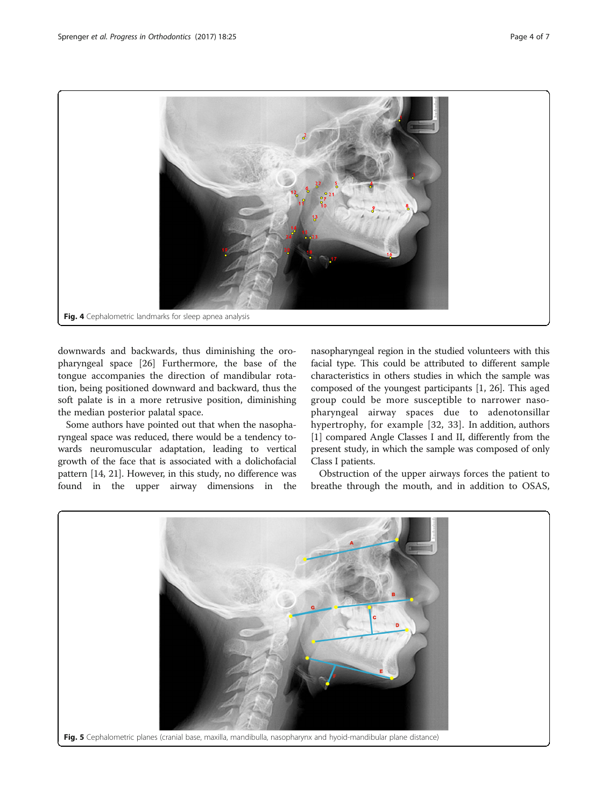<span id="page-3-0"></span>

downwards and backwards, thus diminishing the oropharyngeal space [\[26](#page-5-0)] Furthermore, the base of the tongue accompanies the direction of mandibular rotation, being positioned downward and backward, thus the soft palate is in a more retrusive position, diminishing the median posterior palatal space.

Some authors have pointed out that when the nasopharyngeal space was reduced, there would be a tendency towards neuromuscular adaptation, leading to vertical growth of the face that is associated with a dolichofacial pattern [[14](#page-5-0), [21](#page-5-0)]. However, in this study, no difference was found in the upper airway dimensions in the nasopharyngeal region in the studied volunteers with this facial type. This could be attributed to different sample characteristics in others studies in which the sample was composed of the youngest participants [\[1](#page-5-0), [26](#page-5-0)]. This aged group could be more susceptible to narrower nasopharyngeal airway spaces due to adenotonsillar hypertrophy, for example [\[32,](#page-5-0) [33](#page-6-0)]. In addition, authors [[1\]](#page-5-0) compared Angle Classes I and II, differently from the present study, in which the sample was composed of only Class I patients.

Obstruction of the upper airways forces the patient to breathe through the mouth, and in addition to OSAS,

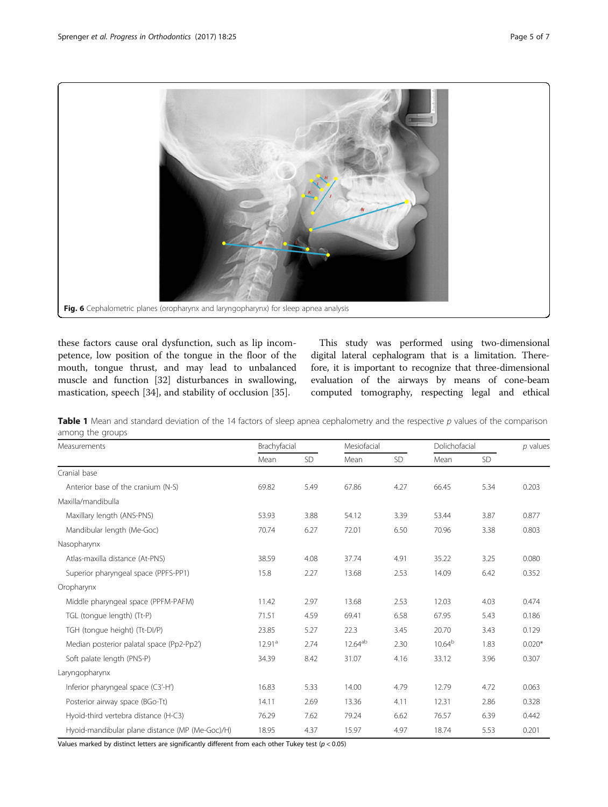<span id="page-4-0"></span>

these factors cause oral dysfunction, such as lip incompetence, low position of the tongue in the floor of the mouth, tongue thrust, and may lead to unbalanced muscle and function [\[32](#page-5-0)] disturbances in swallowing, mastication, speech [[34\]](#page-6-0), and stability of occlusion [\[35\]](#page-6-0).

This study was performed using two-dimensional digital lateral cephalogram that is a limitation. Therefore, it is important to recognize that three-dimensional evaluation of the airways by means of cone-beam computed tomography, respecting legal and ethical

Table 1 Mean and standard deviation of the 14 factors of sleep apnea cephalometry and the respective  $p$  values of the comparison among the groups

| Measurements                                    | Brachyfacial       |      | Mesiofacial  |      | Dolichofacial      |      | $p$ values |
|-------------------------------------------------|--------------------|------|--------------|------|--------------------|------|------------|
|                                                 | Mean               | SD   | Mean         | SD   | Mean               | SD   |            |
| Cranial base                                    |                    |      |              |      |                    |      |            |
| Anterior base of the cranium (N-S)              | 69.82              | 5.49 | 67.86        | 4.27 | 66.45              | 5.34 | 0.203      |
| Maxilla/mandibulla                              |                    |      |              |      |                    |      |            |
| Maxillary length (ANS-PNS)                      | 53.93              | 3.88 | 54.12        | 3.39 | 53.44              | 3.87 | 0.877      |
| Mandibular length (Me-Goc)                      | 70.74              | 6.27 | 72.01        | 6.50 | 70.96              | 3.38 | 0.803      |
| Nasopharynx                                     |                    |      |              |      |                    |      |            |
| Atlas-maxilla distance (At-PNS)                 | 38.59              | 4.08 | 37.74        | 4.91 | 35.22              | 3.25 | 0.080      |
| Superior pharyngeal space (PPFS-PP1)            | 15.8               | 2.27 | 13.68        | 2.53 | 14.09              | 6.42 | 0.352      |
| Oropharynx                                      |                    |      |              |      |                    |      |            |
| Middle pharyngeal space (PPFM-PAFM)             | 11.42              | 2.97 | 13.68        | 2.53 | 12.03              | 4.03 | 0.474      |
| TGL (tongue length) (Tt-P)                      | 71.51              | 4.59 | 69.41        | 6.58 | 67.95              | 5.43 | 0.186      |
| TGH (tonque height) (Tt-DI/P)                   | 23.85              | 5.27 | 22.3         | 3.45 | 20.70              | 3.43 | 0.129      |
| Median posterior palatal space (Pp2-Pp2')       | 12.91 <sup>a</sup> | 2.74 | $12.64^{ab}$ | 2.30 | 10.64 <sup>b</sup> | 1.83 | $0.020*$   |
| Soft palate length (PNS-P)                      | 34.39              | 8.42 | 31.07        | 4.16 | 33.12              | 3.96 | 0.307      |
| Laryngopharynx                                  |                    |      |              |      |                    |      |            |
| Inferior pharyngeal space (C3'-H')              | 16.83              | 5.33 | 14.00        | 4.79 | 12.79              | 4.72 | 0.063      |
| Posterior airway space (BGo-Tt)                 | 14.11              | 2.69 | 13.36        | 4.11 | 12.31              | 2.86 | 0.328      |
| Hyoid-third vertebra distance (H-C3)            | 76.29              | 7.62 | 79.24        | 6.62 | 76.57              | 6.39 | 0.442      |
| Hyoid-mandibular plane distance (MP (Me-Goc)/H) | 18.95              | 4.37 | 15.97        | 4.97 | 18.74              | 5.53 | 0.201      |

Values marked by distinct letters are significantly different from each other Tukey test ( $p < 0.05$ )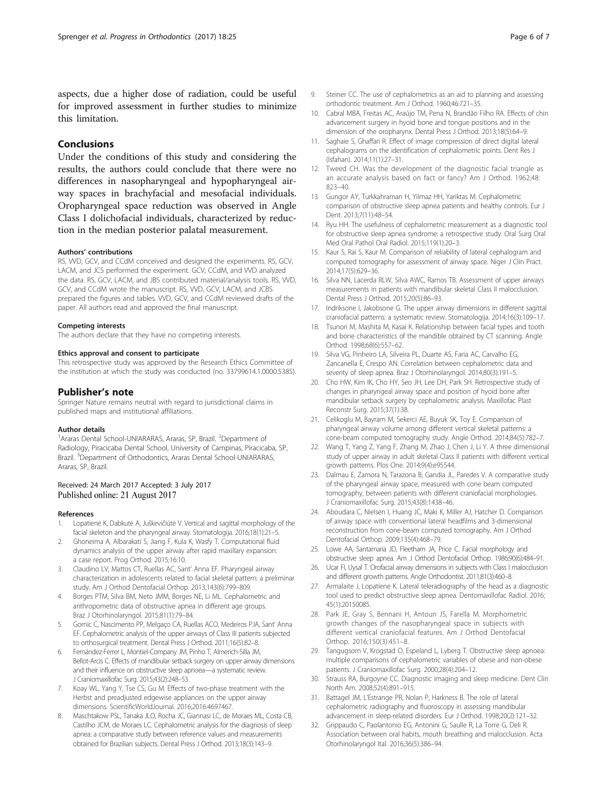# <span id="page-5-0"></span>Conclusions

Under the conditions of this study and considering the results, the authors could conclude that there were no differences in nasopharyngeal and hypopharyngeal airway spaces in brachyfacial and mesofacial individuals. Oropharyngeal space reduction was observed in Angle Class I dolichofacial individuals, characterized by reduction in the median posterior palatal measurement.

#### Authors' contributions

RS, VVD, GCV, and CCdM conceived and designed the experiments. RS, GCV, LACM, and JCS performed the experiment. GCV, CCdM, and VVD analyzed the data. RS, GCV, LACM, and JBS contributed material/analysis tools. RS, VVD, GCV, and CCdM wrote the manuscript. RS, VVD, GCV, LACM, and JCBS prepared the figures and tables. VVD, GCV, and CCdM reviewed drafts of the paper. All authors read and approved the final manuscript.

#### Competing interests

The authors declare that they have no competing interests.

#### Ethics approval and consent to participate

This retrospective study was approved by the Research Ethics Committee of the institution at which the study was conducted (no. 33799614.1.0000.5385).

### Publisher's note

Springer Nature remains neutral with regard to jurisdictional claims in published maps and institutional affiliations.

#### Author details

<sup>1</sup> Araras Dental School-UNIARARAS, Araras, SP, Brazil. <sup>2</sup> Department of Radiology, Piracicaba Dental School, University of Campinas, Piracicaba, SP, Brazil. <sup>3</sup>Department of Orthodontics, Araras Dental School-UNIARARAS, Araras, SP, Brazil.

### Received: 24 March 2017 Accepted: 3 July 2017 Published online: 21 August 2017

#### References

- 1. Lopatienė K, Dabkutė A, Juškevičiūtė V. Vertical and sagittal morphology of the facial skeleton and the pharyngeal airway. Stomatologija. 2016;18(1):21–5.
- 2. Ghoneima A, Albarakati S, Jiang F, Kula K, Wasfy T. Computational fluid dynamics analysis of the upper airway after rapid maxillary expansion: a case report. Prog Orthod. 2015;16:10.
- 3. Claudino LV, Mattos CT, Ruellas AC, Sant' Anna EF. Pharyngeal airway characterization in adolescents related to facial skeletal pattern: a preliminar study. Am J Orthod Dentofacial Orthop. 2013;143(6):799–809.
- 4. Borges PTM, Silva BM, Neto JMM, Borges NE, Li ML. Cephalometric and anthropometric data of obstructive apnea in different age groups. Braz J Otorhinolaryngol. 2015;81(1):79–84.
- 5. Gornic C, Nascimento PP, Melgaço CA, Ruellas ACO, Medeiros PJA, Sant' Anna EF. Cephalometric analysis of the upper airways of Class III patients subjected to orthosurgical treatment. Dental Press J Orthod. 2011;16(5):82–8.
- 6. Fernández-Ferrer L, Montiel-Company JM, Pinho T, Almerich-Silla JM, Bellot-Arcís C. Effects of mandibular setback surgery on upper airway dimensions and their influence on obstructive sleep apnoea—a systematic review. J Craniomaxillofac Surg. 2015;43(2):248–53.
- 7. Koay WL, Yang Y, Tse CS, Gu M. Effects of two-phase treatment with the Herbst and preadjusted edgewise appliances on the upper airway dimensions. ScientificWorldJournal. 2016;2016:4697467.
- 8. Maschtakow PSL, Tanaka JLO, Rocha JC, Giannasi LC, de Moraes ML, Costa CB, Castilho JCM, de Moraes LC. Cephalometric analysis for the diagnosis of sleep apnea: a comparative study between reference values and measurements obtained for Brazilian subjects. Dental Press J Orthod. 2013;18(3):143–9.
- 9. Steiner CC. The use of cephalometrics as an aid to planning and assessing orthodontic treatment. Am J Orthod. 1960;46:721–35.
- 10. Cabral MBA, Freitas AC, Araújo TM, Pena N, Brandão Filho RA. Effects of chin advancement surgery in hyoid bone and tongue positions and in the dimension of the oropharynx. Dental Press J Orthod. 2013;18(5):64–9.
- 11. Saghaie S, Ghaffari R. Effect of image compression of direct digital lateral cephalograms on the identification of cephalometric points. Dent Res J (Isfahan). 2014;11(1):27–31.
- 12. Tweed CH. Was the development of the diagnostic facial triangle as an accurate analysis based on fact or fancy? Am J Orthod. 1962;48: 823–40.
- 13. Gungor AY, Turkkahraman H, Yilmaz HH, Yariktas M. Cephalometric comparison of obstructive sleep apnea patients and healthy controls. Eur J Dent. 2013;7(11):48–54.
- 14. Ryu HH. The usefulness of cephalometric measurement as a diagnostic tool for obstructive sleep apnea syndrome: a retrospective study. Oral Surg Oral Med Oral Pathol Oral Radiol. 2015;119(1):20–3.
- 15. Kaur S, Rai S, Kaur M. Comparison of reliability of lateral cephalogram and computed tomography for assessment of airway space. Niger J Clin Pract. 2014;17(5):629–36.
- 16. Silva NN, Lacerda RLW, Silva AWC, Ramos TB. Assessment of upper airways measurements in patients with mandibular skeletal Class II malocclusion. Dental Press J Orthod. 2015;20(5):86–93.
- 17. Indriksone I, Jakobsone G. The upper airway dimensions in different sagittal craniofacial patterns: a systematic review. Stomatologija. 2014;16(3):109–17.
- 18. Tsunori M, Mashita M, Kasai K. Relationship between facial types and tooth and bone characteristics of the mandible obtained by CT scanning. Angle Orthod. 1998;68(6):557–62.
- 19. Silva VG, Pinheiro LA, Silveira PL, Duarte AS, Faria AC, Carvalho EG, Zancanella E, Crespo AN. Correlation between cephalometric data and severity of sleep apnea. Braz J Otorhinolaryngol. 2014;80(3):191–5.
- 20. Cho HW, Kim IK, Cho HY, Seo JH, Lee DH, Park SH. Retrospective study of changes in pharyngeal airway space and position of hyoid bone after mandibular setback surgery by cephalometric analysis. Maxillofac Plast Reconstr Surg. 2015;37(1):38.
- 21. Celikoglu M, Bayram M, Sekerci AE, Buyuk SK, Toy E. Comparison of pharyngeal airway volume among different vertical skeletal patterns: a cone-beam computed tomography study. Angle Orthod. 2014;84(5):782–7.
- 22. Wang T, Yang Z, Yang F, Zhang M, Zhao J, Chen J, Li Y. A three dimensional study of upper airway in adult skeletal Class II patients with different vertical growth patterns. Plos One. 2014;9(4):e95544.
- 23. Dalmau E, Zamora N, Tarazona B, Gandia JL, Paredes V. A comparative study of the pharyngeal airway space, measured with cone beam computed tomography, between patients with different craniofacial morphologies. J Craniomaxillofac Surg. 2015;43(8):1438–46.
- 24. Aboudara C, Nielsen I, Huang JC, Maki K, Miller AJ, Hatcher D. Comparison of airway space with conventional lateral headfilms and 3-dimensional reconstruction from cone-beam computed tomography. Am J Orthod Dentofacial Orthop. 2009;135(4):468–79.
- 25. Lowe AA, Santamaria JD, Fleetham JA, Price C. Facial morphology and obstructive sleep apnea. Am J Orthod Dentofacial Orthop. 1986;90(6):484–91.
- 26. Ucar FI, Uysal T. Orofacial airway dimensions in subjects with Class I malocclusion and different growth patterns. Angle Orthodontist. 2011;81(3):460-8.
- 27. Armalaite J, Lopatiene K. Lateral teleradiography of the head as a diagnostic tool used to predict obstructive sleep apnea. Dentomaxillofac Radiol. 2016; 45(1):20150085.
- 28. Park JE, Gray S, Bennani H, Antoun JS, Farella M. Morphometric growth changes of the nasopharyngeal space in subjects with different vertical craniofacial features. Am J Orthod Dentofacial Orthop. 2016;150(3):451–8.
- 29. Tangugsorn V, Krogstad O, Espeland L, Lyberg T. Obstructive sleep apnoea: multiple comparisons of cephalometric variables of obese and non-obese patients. J Craniomaxillofac Surg. 2000;28(4):204–12.
- 30. Strauss RA, Burgoyne CC. Diagnostic imaging and sleep medicine. Dent Clin North Am. 2008;52(4):891–915.
- 31. Battagel JM, L'Estrange PR, Nolan P, Harkness B. The role of lateral cephalometric radiography and fluoroscopy in assessing mandibular advancement in sleep-related disorders. Eur J Orthod. 1998;20(2):121–32.
- 32. Grippaudo C, Paolantonio EG, Antonini G, Saulle R, La Torre G, Deli R. Association between oral habits, mouth breathing and malocclusion. Acta Otorhinolaryngol Ital. 2016;36(5):386–94.